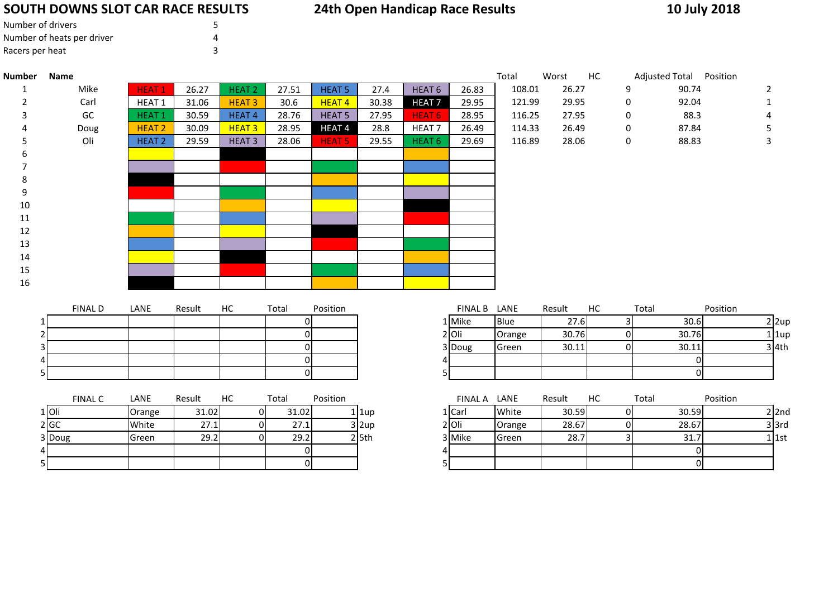# **SOUTH DOWNS SLOT CAR RACE RESULTS**

| S | <b>24th Open Handicap Race Results</b> |  |
|---|----------------------------------------|--|
|---|----------------------------------------|--|

**10 July 2018**

| Number of drivers          |  |
|----------------------------|--|
| Number of heats per driver |  |
| Racers per heat            |  |

| <b>Number</b> | Name           |                   |        |                   |                |                   |             |                   |              | Total  | Worst  | HC       | Adjusted Total Position |                |                |
|---------------|----------------|-------------------|--------|-------------------|----------------|-------------------|-------------|-------------------|--------------|--------|--------|----------|-------------------------|----------------|----------------|
| 1             | Mike           | <b>HEAT1</b>      | 26.27  | <b>HEAT 2</b>     | 27.51          | <b>HEAT 5</b>     | 27.4        | HEAT <sub>6</sub> | 26.83        | 108.01 | 26.27  |          | 9                       | 90.74          | $\overline{2}$ |
| 2             | Carl           | HEAT <sub>1</sub> | 31.06  | <b>HEAT3</b>      | 30.6           | HEAT <sub>4</sub> | 30.38       | <b>HEAT7</b>      | 29.95        | 121.99 | 29.95  |          | 0                       | 92.04          | $\mathbf{1}$   |
|               | GC             | HEAT <sub>1</sub> | 30.59  | HEAT <sub>4</sub> | 28.76          | <b>HEAT 5</b>     | 27.95       | HEAT <sub>6</sub> | 28.95        | 116.25 | 27.95  |          | 0                       | 88.3           |                |
|               | Doug           | <b>HEAT 2</b>     | 30.09  | <b>HEAT3</b>      | 28.95          | HEAT4             | 28.8        | HEAT <sub>7</sub> | 26.49        | 114.33 | 26.49  |          | 0                       | 87.84          |                |
|               | Oli            | <b>HEAT 2</b>     | 29.59  | HEAT <sub>3</sub> | 28.06          | <b>HEAT 5</b>     | 29.55       | HEAT <sub>6</sub> | 29.69        | 116.89 | 28.06  |          | $\mathbf 0$             | 88.83          | 3              |
|               |                |                   |        |                   |                |                   |             |                   |              |        |        |          |                         |                |                |
|               |                |                   |        |                   |                |                   |             |                   |              |        |        |          |                         |                |                |
| 8             |                |                   |        |                   |                |                   |             |                   |              |        |        |          |                         |                |                |
| 9             |                |                   |        |                   |                |                   |             |                   |              |        |        |          |                         |                |                |
| 10            |                |                   |        |                   |                |                   |             |                   |              |        |        |          |                         |                |                |
| 11            |                |                   |        |                   |                |                   |             |                   |              |        |        |          |                         |                |                |
| 12            |                |                   |        |                   |                |                   |             |                   |              |        |        |          |                         |                |                |
| 13            |                |                   |        |                   |                |                   |             |                   |              |        |        |          |                         |                |                |
| 14            |                |                   |        |                   |                |                   |             |                   |              |        |        |          |                         |                |                |
| 15            |                |                   |        |                   |                |                   |             |                   |              |        |        |          |                         |                |                |
| 16            |                |                   |        |                   |                |                   |             |                   |              |        |        |          |                         |                |                |
|               |                |                   |        |                   |                |                   |             |                   |              |        |        |          |                         |                |                |
|               | <b>FINAL D</b> | LANE              |        | HC                | Total          | Position          |             |                   |              |        | Result | $\sf HC$ |                         | Position       |                |
|               |                |                   | Result |                   |                |                   |             |                   | FINAL B LANE |        |        |          | Total                   |                |                |
|               |                |                   |        |                   | ΟI             |                   |             |                   | 1 Mike       | Blue   | 27.6   |          | $\overline{3}$          | 30.6           | $2$ 2up        |
|               |                |                   |        |                   | $\overline{0}$ |                   |             |                   | $2$ Oli      | Orange | 30.76  |          | $\overline{0}$          | 30.76          | $1$  1up       |
|               | 3              |                   |        |                   | $\overline{0}$ |                   |             |                   | 3 Doug       | Green  | 30.11  |          | $\overline{0}$          | 30.11          | $3$ 4th        |
|               |                |                   |        |                   | $\overline{0}$ |                   |             | 4                 |              |        |        |          |                         | $\overline{0}$ |                |
|               |                |                   |        |                   | $\Omega$       |                   |             | 5                 |              |        |        |          |                         | $\overline{0}$ |                |
|               |                |                   |        |                   |                |                   |             |                   |              |        |        |          |                         |                |                |
|               | <b>FINAL C</b> | LANE              | Result | HC                | Total          | Position          |             |                   | FINAL A LANE |        | Result | HC       | Total                   | Position       |                |
|               | $1$ Oli        | Orange            | 31.02  | $\overline{0}$    | 31.02          |                   | $1$   1up   |                   | $1$ Carl     | White  | 30.59  |          | $\overline{0}$          | 30.59          | $2$ 2nd        |
|               | $2 \sqrt{GC}$  | White             | 27.1   | $\overline{0}$    | 27.1           |                   | $3$ 2up     |                   | $2$ Oli      | Orange | 28.67  |          | $\overline{0}$          | 28.67          | $3$ $3rd$      |
|               | 3 Doug         | Green             | 29.2   | $\Omega$          | 29.2           |                   | $2 \, 5$ th |                   | 3 Mike       | Green  | 28.7   |          | 3                       | 31.7           | $1$ 1st        |
|               |                |                   |        |                   | $\overline{0}$ |                   |             | 4                 |              |        |        |          |                         | $\overline{0}$ |                |